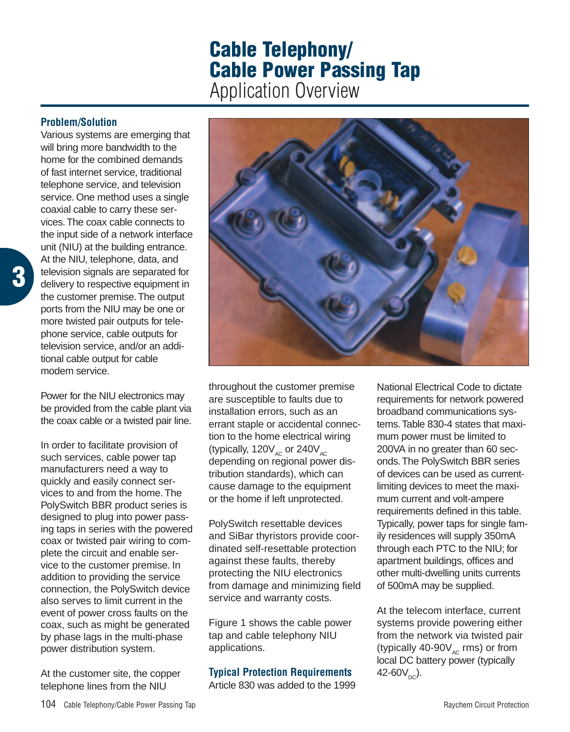# **Cable Telephony/ Cable Power Passing Tap** Application Overview

#### **Problem/Solution**

**3**

Various systems are emerging that will bring more bandwidth to the home for the combined demands of fast internet service, traditional telephone service, and television service. One method uses a single coaxial cable to carry these services.The coax cable connects to the input side of a network interface unit (NIU) at the building entrance. At the NIU, telephone, data, and television signals are separated for delivery to respective equipment in the customer premise.The output ports from the NIU may be one or more twisted pair outputs for telephone service, cable outputs for television service, and/or an additional cable output for cable modem service.

Power for the NIU electronics may be provided from the cable plant via the coax cable or a twisted pair line.

In order to facilitate provision of such services, cable power tap manufacturers need a way to quickly and easily connect services to and from the home. The PolySwitch BBR product series is designed to plug into power passing taps in series with the powered coax or twisted pair wiring to complete the circuit and enable service to the customer premise. In addition to providing the service connection, the PolySwitch device also serves to limit current in the event of power cross faults on the coax, such as might be generated by phase lags in the multi-phase power distribution system.

At the customer site, the copper telephone lines from the NIU



throughout the customer premise are susceptible to faults due to installation errors, such as an errant staple or accidental connection to the home electrical wiring (typically,  $120V_{AC}$  or  $240V_{AC}$ depending on regional power distribution standards), which can cause damage to the equipment or the home if left unprotected.

PolySwitch resettable devices and SiBar thyristors provide coordinated self-resettable protection against these faults, thereby protecting the NIU electronics from damage and minimizing field service and warranty costs.

Figure 1 shows the cable power tap and cable telephony NIU applications.

#### **Typical Protection Requirements**

Article 830 was added to the 1999

National Electrical Code to dictate requirements for network powered broadband communications systems.Table 830-4 states that maximum power must be limited to 200VA in no greater than 60 seconds.The PolySwitch BBR series of devices can be used as currentlimiting devices to meet the maximum current and volt-ampere requirements defined in this table. Typically, power taps for single family residences will supply 350mA through each PTC to the NIU; for apartment buildings, offices and other multi-dwelling units currents of 500mA may be supplied.

At the telecom interface, current systems provide powering either from the network via twisted pair (typically 40-90 $V_{AC}$  rms) or from local DC battery power (typically 42-60 $V_{\text{DC}}$ ).